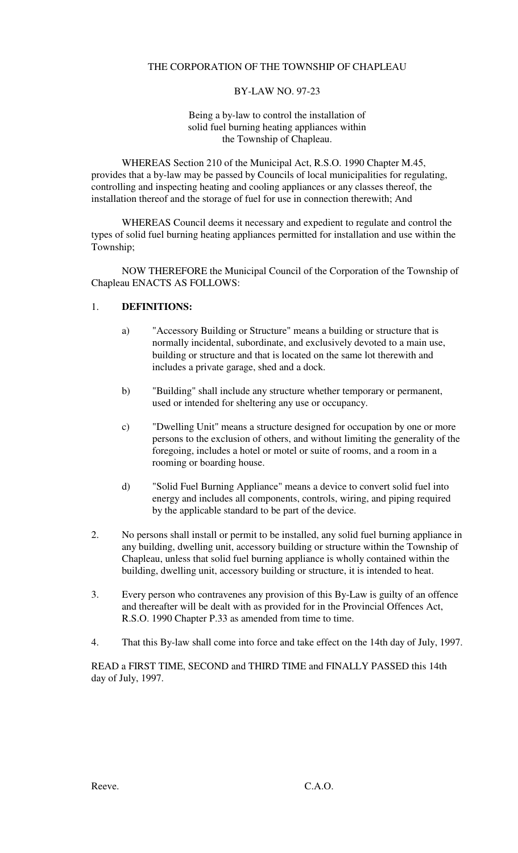# THE CORPORATION OF THE TOWNSHIP OF CHAPLEAU

#### BY-LAW NO. 97-23

#### Being a by-law to control the installation of solid fuel burning heating appliances within the Township of Chapleau.

WHEREAS Section 210 of the Municipal Act, R.S.O. 1990 Chapter M.45, provides that a by-law may be passed by Councils of local municipalities for regulating, controlling and inspecting heating and cooling appliances or any classes thereof, the installation thereof and the storage of fuel for use in connection therewith; And

WHEREAS Council deems it necessary and expedient to regulate and control the types of solid fuel burning heating appliances permitted for installation and use within the Township;

NOW THEREFORE the Municipal Council of the Corporation of the Township of Chapleau ENACTS AS FOLLOWS:

## 1. **DEFINITIONS:**

- a) "Accessory Building or Structure" means a building or structure that is normally incidental, subordinate, and exclusively devoted to a main use, building or structure and that is located on the same lot therewith and includes a private garage, shed and a dock.
- b) "Building" shall include any structure whether temporary or permanent, used or intended for sheltering any use or occupancy.
- c) "Dwelling Unit" means a structure designed for occupation by one or more persons to the exclusion of others, and without limiting the generality of the foregoing, includes a hotel or motel or suite of rooms, and a room in a rooming or boarding house.
- d) "Solid Fuel Burning Appliance" means a device to convert solid fuel into energy and includes all components, controls, wiring, and piping required by the applicable standard to be part of the device.
- 2. No persons shall install or permit to be installed, any solid fuel burning appliance in any building, dwelling unit, accessory building or structure within the Township of Chapleau, unless that solid fuel burning appliance is wholly contained within the building, dwelling unit, accessory building or structure, it is intended to heat.
- 3. Every person who contravenes any provision of this By-Law is guilty of an offence and thereafter will be dealt with as provided for in the Provincial Offences Act, R.S.O. 1990 Chapter P.33 as amended from time to time.
- 4. That this By-law shall come into force and take effect on the 14th day of July, 1997.

READ a FIRST TIME, SECOND and THIRD TIME and FINALLY PASSED this 14th day of July, 1997.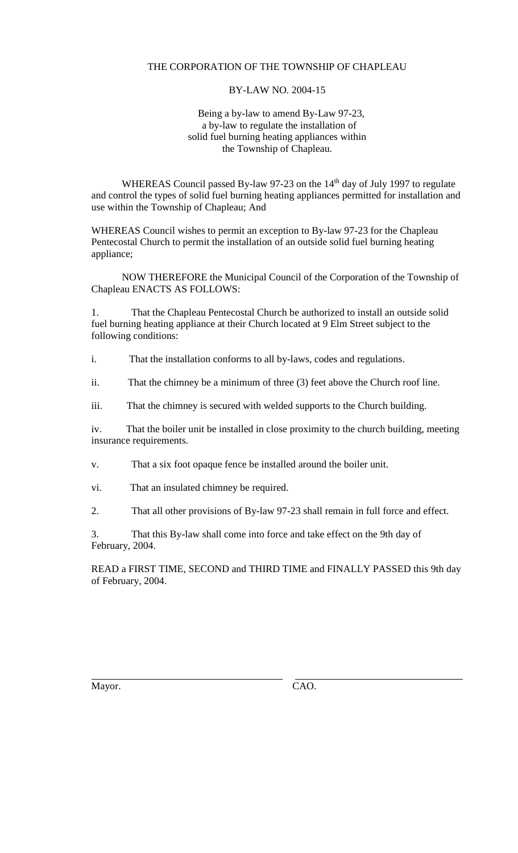# THE CORPORATION OF THE TOWNSHIP OF CHAPLEAU

## BY-LAW NO. 2004-15

#### Being a by-law to amend By-Law 97-23, a by-law to regulate the installation of solid fuel burning heating appliances within the Township of Chapleau.

WHEREAS Council passed By-law 97-23 on the 14<sup>th</sup> day of July 1997 to regulate and control the types of solid fuel burning heating appliances permitted for installation and use within the Township of Chapleau; And

WHEREAS Council wishes to permit an exception to By-law 97-23 for the Chapleau Pentecostal Church to permit the installation of an outside solid fuel burning heating appliance;

NOW THEREFORE the Municipal Council of the Corporation of the Township of Chapleau ENACTS AS FOLLOWS:

1. That the Chapleau Pentecostal Church be authorized to install an outside solid fuel burning heating appliance at their Church located at 9 Elm Street subject to the following conditions:

i. That the installation conforms to all by-laws, codes and regulations.

ii. That the chimney be a minimum of three (3) feet above the Church roof line.

iii. That the chimney is secured with welded supports to the Church building.

iv. That the boiler unit be installed in close proximity to the church building, meeting insurance requirements.

v. That a six foot opaque fence be installed around the boiler unit.

vi. That an insulated chimney be required.

2. That all other provisions of By-law 97-23 shall remain in full force and effect.

3. That this By-law shall come into force and take effect on the 9th day of February, 2004.

READ a FIRST TIME, SECOND and THIRD TIME and FINALLY PASSED this 9th day of February, 2004.

Mayor. CAO.

 $\overline{a}$